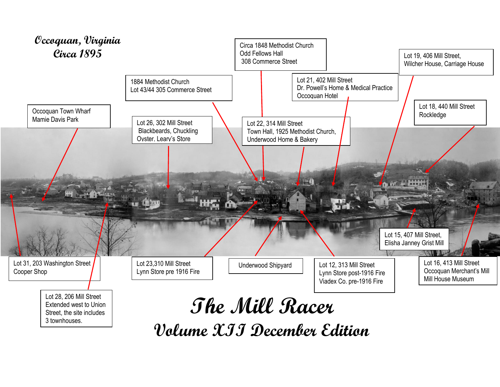

**Volume XII December Edition**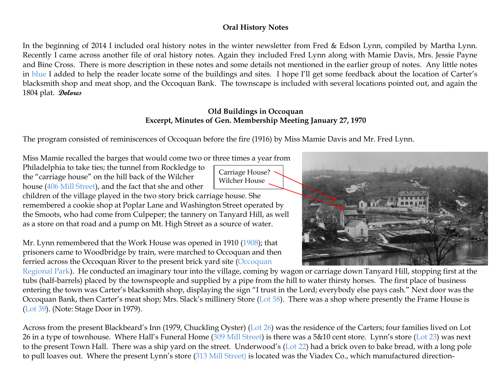#### **Oral History Notes**

In the beginning of 2014 I included oral history notes in the winter newsletter from Fred & Edson Lynn, compiled by Martha Lynn. Recently I came across another file of oral history notes. Again they included Fred Lynn along with Mamie Davis, Mrs. Jessie Payne and Bine Cross. There is more description in these notes and some details not mentioned in the earlier group of notes. Any little notes in blue I added to help the reader locate some of the buildings and sites. I hope I'll get some feedback about the location of Carter's blacksmith shop and meat shop, and the Occoquan Bank. The townscape is included with several locations pointed out, and again the 1804 plat. **Dolores**

#### **Old Buildings in Occoquan Excerpt, Minutes of Gen. Membership Meeting January 27, 1970**

The program consisted of reminiscences of Occoquan before the fire (1916) by Miss Mamie Davis and Mr. Fred Lynn.

Miss Mamie recalled the barges that would come two or three times a year from

Philadelphia to take ties; the tunnel from Rockledge to the "carriage house" on the hill back of the Wilcher house (406 Mill Street), and the fact that she and other

children of the village played in the two story brick carriage house. She remembered a cookie shop at Poplar Lane and Washington Street operated by the Smoots, who had come from Culpeper; the tannery on Tanyard Hill, as well as a store on that road and a pump on Mt. High Street as a source of water.

Mr. Lynn remembered that the Work House was opened in 1910 (1908); that prisoners came to Woodbridge by train, were marched to Occoquan and then ferried across the Occoquan River to the present brick yard site (Occoquan

Regional Park). He conducted an imaginary tour into the village, coming by wagon or carriage down Tanyard Hill, stopping first at the tubs (half-barrels) placed by the townspeople and supplied by a pipe from the hill to water thirsty horses. The first place of business entering the town was Carter's blacksmith shop, displaying the sign "I trust in the Lord; everybody else pays cash." Next door was the Occoquan Bank, then Carter's meat shop; Mrs. Slack's millinery Store (Lot 58). There was a shop where presently the Frame House is (Lot 39). (Note: Stage Door in 1979).

Across from the present Blackbeard's Inn (1979, Chuckling Oyster) (Lot 26) was the residence of the Carters; four families lived on Lot 26 in a type of townhouse. Where Hall's Funeral Home (309 Mill Street) is there was a 5&10 cent store. Lynn's store (Lot 23) was next to the present Town Hall. There was a ship yard on the street. Underwood's (Lot 22) had a brick oven to bake bread, with a long pole to pull loaves out. Where the present Lynn's store (313 Mill Street) is located was the Viadex Co., which manufactured direction-



Carriage House? Wilcher House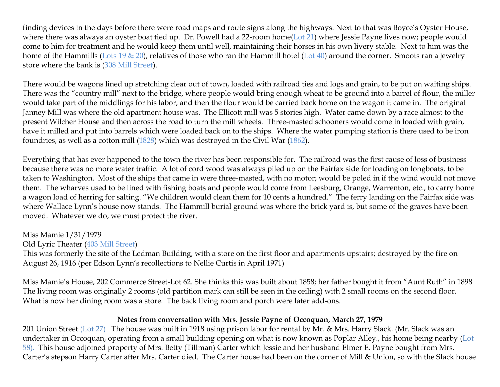finding devices in the days before there were road maps and route signs along the highways. Next to that was Boyce's Oyster House, where there was always an oyster boat tied up. Dr. Powell had a 22-room home(Lot 21) where Jessie Payne lives now; people would come to him for treatment and he would keep them until well, maintaining their horses in his own livery stable. Next to him was the home of the Hammills (Lots 19  $\&$  20), relatives of those who ran the Hammill hotel (Lot 40) around the corner. Smoots ran a jewelry store where the bank is (308 Mill Street).

There would be wagons lined up stretching clear out of town, loaded with railroad ties and logs and grain, to be put on waiting ships. There was the "country mill" next to the bridge, where people would bring enough wheat to be ground into a barrel of flour, the miller would take part of the middlings for his labor, and then the flour would be carried back home on the wagon it came in. The original Janney Mill was where the old apartment house was. The Ellicott mill was 5 stories high. Water came down by a race almost to the present Wilcher House and then across the road to turn the mill wheels. Three-masted schooners would come in loaded with grain, have it milled and put into barrels which were loaded back on to the ships. Where the water pumping station is there used to be iron foundries, as well as a cotton mill (1828) which was destroyed in the Civil War (1862).

Everything that has ever happened to the town the river has been responsible for. The railroad was the first cause of loss of business because there was no more water traffic. A lot of cord wood was always piled up on the Fairfax side for loading on longboats, to be taken to Washington. Most of the ships that came in were three-masted, with no motor; would be poled in if the wind would not move them. The wharves used to be lined with fishing boats and people would come from Leesburg, Orange, Warrenton, etc., to carry home a wagon load of herring for salting. "We children would clean them for 10 cents a hundred." The ferry landing on the Fairfax side was where Wallace Lynn's house now stands. The Hammill burial ground was where the brick yard is, but some of the graves have been moved. Whatever we do, we must protect the river.

## Miss Mamie 1/31/1979

#### Old Lyric Theater (403 Mill Street)

This was formerly the site of the Ledman Building, with a store on the first floor and apartments upstairs; destroyed by the fire on August 26, 1916 (per Edson Lynn's recollections to Nellie Curtis in April 1971)

Miss Mamie's House, 202 Commerce Street-Lot 62. She thinks this was built about 1858; her father bought it from "Aunt Ruth" in 1898 The living room was originally 2 rooms (old partition mark can still be seen in the ceiling) with 2 small rooms on the second floor. What is now her dining room was a store. The back living room and porch were later add-ons.

### **Notes from conversation with Mrs. Jessie Payne of Occoquan, March 27, 1979**

201 Union Street (Lot 27) The house was built in 1918 using prison labor for rental by Mr. & Mrs. Harry Slack. (Mr. Slack was an undertaker in Occoquan, operating from a small building opening on what is now known as Poplar Alley., his home being nearby (Lot 58). This house adjoined property of Mrs. Betty (Tillman) Carter which Jessie and her husband Elmer E. Payne bought from Mrs. Carter's stepson Harry Carter after Mrs. Carter died. The Carter house had been on the corner of Mill & Union, so with the Slack house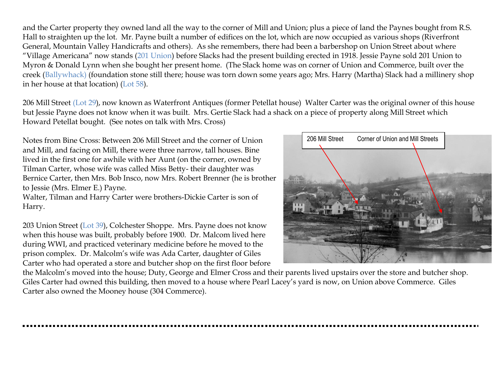and the Carter property they owned land all the way to the corner of Mill and Union; plus a piece of land the Paynes bought from R.S. Hall to straighten up the lot. Mr. Payne built a number of edifices on the lot, which are now occupied as various shops (Riverfront General, Mountain Valley Handicrafts and others). As she remembers, there had been a barbershop on Union Street about where "Village Americana" now stands (201 Union) before Slacks had the present building erected in 1918. Jessie Payne sold 201 Union to Myron & Donald Lynn when she bought her present home. (The Slack home was on corner of Union and Commerce, built over the creek (Ballywhack) (foundation stone still there; house was torn down some years ago; Mrs. Harry (Martha) Slack had a millinery shop in her house at that location) (Lot 58).

206 Mill Street (Lot 29), now known as Waterfront Antiques (former Petellat house) Walter Carter was the original owner of this house but Jessie Payne does not know when it was built. Mrs. Gertie Slack had a shack on a piece of property along Mill Street which Howard Petellat bought. (See notes on talk with Mrs. Cross)

Notes from Bine Cross: Between 206 Mill Street and the corner of Union and Mill, and facing on Mill, there were three narrow, tall houses. Bine lived in the first one for awhile with her Aunt (on the corner, owned by Tilman Carter, whose wife was called Miss Betty- their daughter was Bernice Carter, then Mrs. Bob Insco, now Mrs. Robert Brenner (he is brother to Jessie (Mrs. Elmer E.) Payne.

Walter, Tilman and Harry Carter were brothers-Dickie Carter is son of Harry.

203 Union Street (Lot 39), Colchester Shoppe. Mrs. Payne does not know when this house was built, probably before 1900. Dr. Malcom lived here during WWI, and practiced veterinary medicine before he moved to the prison complex. Dr. Malcolm's wife was Ada Carter, daughter of Giles Carter who had operated a store and butcher shop on the first floor before 206 Mill Street Corner of Union and Mill Streets

the Malcolm's moved into the house; Duty, George and Elmer Cross and their parents lived upstairs over the store and butcher shop. Giles Carter had owned this building, then moved to a house where Pearl Lacey's yard is now, on Union above Commerce. Giles Carter also owned the Mooney house (304 Commerce).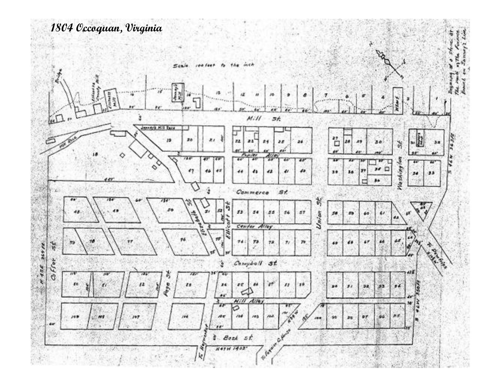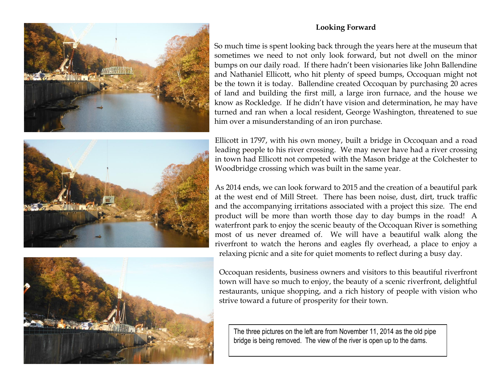#### **Looking Forward**

![](_page_5_Picture_1.jpeg)

So much time is spent looking back through the years here at the museum that sometimes we need to not only look forward, but not dwell on the minor bumps on our daily road. If there hadn't been visionaries like John Ballendine and Nathaniel Ellicott, who hit plenty of speed bumps, Occoquan might not be the town it is today. Ballendine created Occoquan by purchasing 20 acres of land and building the first mill, a large iron furnace, and the house we know as Rockledge. If he didn't have vision and determination, he may have turned and ran when a local resident, George Washington, threatened to sue him over a misunderstanding of an iron purchase.

![](_page_5_Picture_3.jpeg)

Ellicott in 1797, with his own money, built a bridge in Occoquan and a road leading people to his river crossing. We may never have had a river crossing in town had Ellicott not competed with the Mason bridge at the Colchester to Woodbridge crossing which was built in the same year.

As 2014 ends, we can look forward to 2015 and the creation of a beautiful park at the west end of Mill Street. There has been noise, dust, dirt, truck traffic and the accompanying irritations associated with a project this size. The end product will be more than worth those day to day bumps in the road! A waterfront park to enjoy the scenic beauty of the Occoquan River is something most of us never dreamed of. We will have a beautiful walk along the riverfront to watch the herons and eagles fly overhead, a place to enjoy a relaxing picnic and a site for quiet moments to reflect during a busy day.

![](_page_5_Picture_6.jpeg)

Occoquan residents, business owners and visitors to this beautiful riverfront town will have so much to enjoy, the beauty of a scenic riverfront, delightful restaurants, unique shopping, and a rich history of people with vision who strive toward a future of prosperity for their town.

The three pictures on the left are from November 11, 2014 as the old pipe bridge is being removed. The view of the river is open up to the dams.